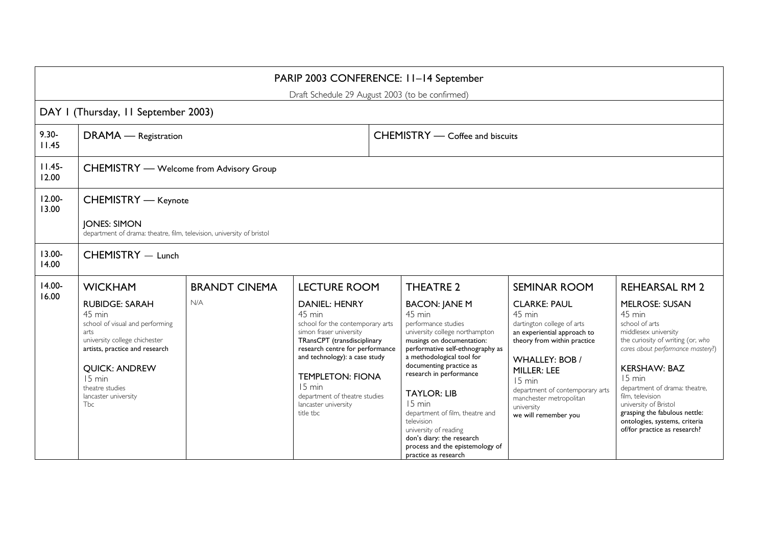|                    |                                                                                                                                                                                                                                   |                      |                                                                                                                                                                                                                                                                                                                       | PARIP 2003 CONFERENCE: 11-14 September                                                                                                                                                                                                                                                                                                                                                                                                                  |                                                                                                                                                                                                                                                                                           |                                                                                                                                                                                                                                                                                                                                                                      |  |  |
|--------------------|-----------------------------------------------------------------------------------------------------------------------------------------------------------------------------------------------------------------------------------|----------------------|-----------------------------------------------------------------------------------------------------------------------------------------------------------------------------------------------------------------------------------------------------------------------------------------------------------------------|---------------------------------------------------------------------------------------------------------------------------------------------------------------------------------------------------------------------------------------------------------------------------------------------------------------------------------------------------------------------------------------------------------------------------------------------------------|-------------------------------------------------------------------------------------------------------------------------------------------------------------------------------------------------------------------------------------------------------------------------------------------|----------------------------------------------------------------------------------------------------------------------------------------------------------------------------------------------------------------------------------------------------------------------------------------------------------------------------------------------------------------------|--|--|
|                    |                                                                                                                                                                                                                                   |                      |                                                                                                                                                                                                                                                                                                                       | Draft Schedule 29 August 2003 (to be confirmed)                                                                                                                                                                                                                                                                                                                                                                                                         |                                                                                                                                                                                                                                                                                           |                                                                                                                                                                                                                                                                                                                                                                      |  |  |
|                    | DAY I (Thursday, II September 2003)                                                                                                                                                                                               |                      |                                                                                                                                                                                                                                                                                                                       |                                                                                                                                                                                                                                                                                                                                                                                                                                                         |                                                                                                                                                                                                                                                                                           |                                                                                                                                                                                                                                                                                                                                                                      |  |  |
| $9.30 -$<br>11.45  | <b>CHEMISTRY</b> — Coffee and biscuits<br>DRAMA - Registration                                                                                                                                                                    |                      |                                                                                                                                                                                                                                                                                                                       |                                                                                                                                                                                                                                                                                                                                                                                                                                                         |                                                                                                                                                                                                                                                                                           |                                                                                                                                                                                                                                                                                                                                                                      |  |  |
| $11.45 -$<br>12.00 | <b>CHEMISTRY</b> — Welcome from Advisory Group                                                                                                                                                                                    |                      |                                                                                                                                                                                                                                                                                                                       |                                                                                                                                                                                                                                                                                                                                                                                                                                                         |                                                                                                                                                                                                                                                                                           |                                                                                                                                                                                                                                                                                                                                                                      |  |  |
| $12.00 -$<br>13.00 | <b>CHEMISTRY</b> - Keynote<br><b>JONES: SIMON</b><br>department of drama: theatre, film, television, university of bristol                                                                                                        |                      |                                                                                                                                                                                                                                                                                                                       |                                                                                                                                                                                                                                                                                                                                                                                                                                                         |                                                                                                                                                                                                                                                                                           |                                                                                                                                                                                                                                                                                                                                                                      |  |  |
| $13.00 -$<br>14.00 | CHEMISTRY - Lunch                                                                                                                                                                                                                 |                      |                                                                                                                                                                                                                                                                                                                       |                                                                                                                                                                                                                                                                                                                                                                                                                                                         |                                                                                                                                                                                                                                                                                           |                                                                                                                                                                                                                                                                                                                                                                      |  |  |
| $14.00 -$          | <b>WICKHAM</b>                                                                                                                                                                                                                    | <b>BRANDT CINEMA</b> | <b>LECTURE ROOM</b>                                                                                                                                                                                                                                                                                                   | <b>THEATRE 2</b>                                                                                                                                                                                                                                                                                                                                                                                                                                        | <b>SEMINAR ROOM</b>                                                                                                                                                                                                                                                                       | <b>REHEARSAL RM 2</b>                                                                                                                                                                                                                                                                                                                                                |  |  |
| 16.00              | <b>RUBIDGE: SARAH</b><br>45 min<br>school of visual and performing<br>arts<br>university college chichester<br>artists, practice and research<br><b>QUICK: ANDREW</b><br>15 min<br>theatre studies<br>lancaster university<br>Tbc | N/A                  | <b>DANIEL: HENRY</b><br>45 min<br>school for the contemporary arts<br>simon fraser university<br>TRansCPT (transdisciplinary<br>research centre for performance<br>and technology): a case study<br><b>TEMPLETON: FIONA</b><br>$15 \text{ min}$<br>department of theatre studies<br>lancaster university<br>title tbc | <b>BACON: JANE M</b><br>45 min<br>performance studies<br>university college northampton<br>musings on documentation:<br>performative self-ethnography as<br>a methodological tool for<br>documenting practice as<br>research in performance<br><b>TAYLOR: LIB</b><br>$15 \text{ min}$<br>department of film, theatre and<br>television<br>university of reading<br>don's diary: the research<br>process and the epistemology of<br>practice as research | <b>CLARKE: PAUL</b><br>45 min<br>dartington college of arts<br>an experiential approach to<br>theory from within practice<br><b>WHALLEY: BOB /</b><br>MILLER: LEE<br>$15 \text{ min}$<br>department of contemporary arts<br>manchester metropolitan<br>university<br>we will remember you | <b>MELROSE: SUSAN</b><br>45 min<br>school of arts<br>middlesex university<br>the curiosity of writing (or, who<br>cares about performance mastery?)<br><b>KERSHAW: BAZ</b><br>15 min<br>department of drama: theatre,<br>film, television<br>university of Bristol<br>grasping the fabulous nettle:<br>ontologies, systems, criteria<br>of/for practice as research? |  |  |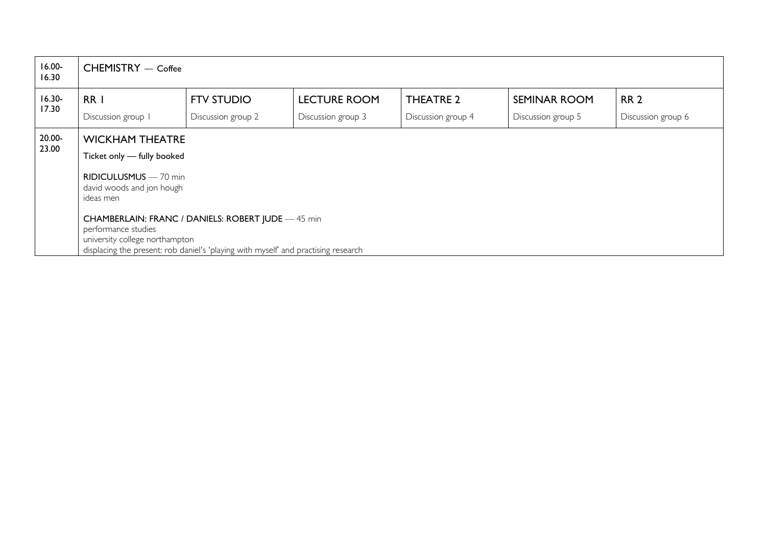| $16.00 -$<br>16.30 | $CHEMISTRY - \text{Coffee}$                                                                                                                                                                                                                                                                                                                |                                         |                                           |                                        |                                    |                                   |  |
|--------------------|--------------------------------------------------------------------------------------------------------------------------------------------------------------------------------------------------------------------------------------------------------------------------------------------------------------------------------------------|-----------------------------------------|-------------------------------------------|----------------------------------------|------------------------------------|-----------------------------------|--|
| $16.30 -$<br>17.30 | RR I<br>Discussion group 1                                                                                                                                                                                                                                                                                                                 | <b>FTV STUDIO</b><br>Discussion group 2 | <b>LECTURE ROOM</b><br>Discussion group 3 | <b>THEATRE 2</b><br>Discussion group 4 | SEMINAR ROOM<br>Discussion group 5 | <b>RR 2</b><br>Discussion group 6 |  |
| 20.00-<br>23.00    | <b>WICKHAM THEATRE</b><br>Ticket only - fully booked<br><b>RIDICULUSMUS</b> - 70 min<br>david woods and jon hough<br>ideas men<br><b>CHAMBERLAIN: FRANC / DANIELS: ROBERT JUDE - 45 min</b><br>performance studies<br>university college northampton<br>displacing the present: rob daniel's 'playing with myself' and practising research |                                         |                                           |                                        |                                    |                                   |  |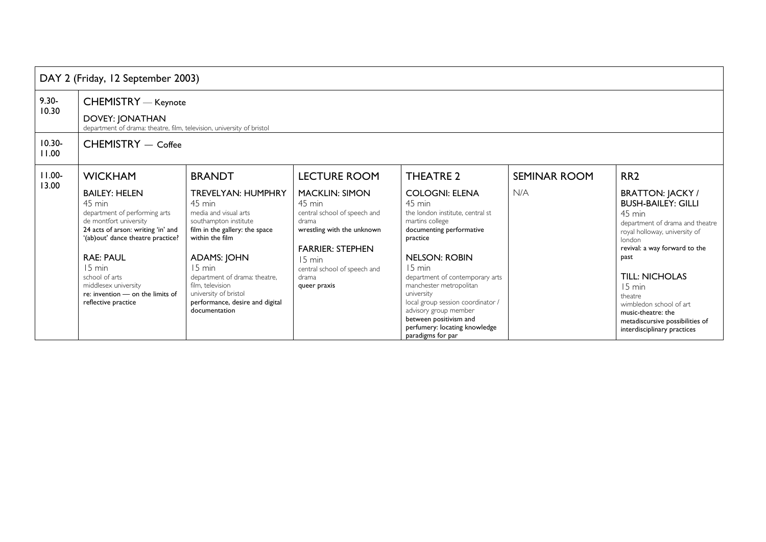| DAY 2 (Friday, 12 September 2003) |                                                                                                                                                                                                                                                                                                         |                                                                                                                                                                                                                                                                                                              |                                                                                                                                                                                                                |                                                                                                                                                                                                                                                                                                                                                                                                      |                     |                                                                                                                                                                                                                                                                                                                                                                  |  |  |
|-----------------------------------|---------------------------------------------------------------------------------------------------------------------------------------------------------------------------------------------------------------------------------------------------------------------------------------------------------|--------------------------------------------------------------------------------------------------------------------------------------------------------------------------------------------------------------------------------------------------------------------------------------------------------------|----------------------------------------------------------------------------------------------------------------------------------------------------------------------------------------------------------------|------------------------------------------------------------------------------------------------------------------------------------------------------------------------------------------------------------------------------------------------------------------------------------------------------------------------------------------------------------------------------------------------------|---------------------|------------------------------------------------------------------------------------------------------------------------------------------------------------------------------------------------------------------------------------------------------------------------------------------------------------------------------------------------------------------|--|--|
| $9.30 -$<br>10.30                 | <b>CHEMISTRY</b> - Keynote<br>DOVEY: JONATHAN<br>department of drama: theatre, film, television, university of bristol                                                                                                                                                                                  |                                                                                                                                                                                                                                                                                                              |                                                                                                                                                                                                                |                                                                                                                                                                                                                                                                                                                                                                                                      |                     |                                                                                                                                                                                                                                                                                                                                                                  |  |  |
| $10.30 -$<br>11.00                | CHEMISTRY - Coffee                                                                                                                                                                                                                                                                                      |                                                                                                                                                                                                                                                                                                              |                                                                                                                                                                                                                |                                                                                                                                                                                                                                                                                                                                                                                                      |                     |                                                                                                                                                                                                                                                                                                                                                                  |  |  |
| $11.00 -$                         | <b>WICKHAM</b>                                                                                                                                                                                                                                                                                          | <b>BRANDT</b>                                                                                                                                                                                                                                                                                                | <b>LECTURE ROOM</b>                                                                                                                                                                                            | <b>THEATRE 2</b>                                                                                                                                                                                                                                                                                                                                                                                     | <b>SEMINAR ROOM</b> | RR <sub>2</sub>                                                                                                                                                                                                                                                                                                                                                  |  |  |
| 13.00                             | <b>BAILEY: HELEN</b><br>45 min<br>department of performing arts<br>de montfort university<br>24 acts of arson: writing 'in' and<br>'(ab)out' dance theatre practice?<br><b>RAE: PAUL</b><br>15 min<br>school of arts<br>middlesex university<br>re: invention - on the limits of<br>reflective practice | <b>TREVELYAN: HUMPHRY</b><br>45 min<br>media and visual arts<br>southampton institute<br>film in the gallery: the space<br>within the film<br><b>ADAMS: JOHN</b><br>15 min<br>department of drama: theatre,<br>film. television<br>university of bristol<br>performance, desire and digital<br>documentation | <b>MACKLIN: SIMON</b><br>45 min<br>central school of speech and<br>drama<br>wrestling with the unknown<br><b>FARRIER: STEPHEN</b><br>$15 \text{ min}$<br>central school of speech and<br>drama<br>queer praxis | <b>COLOGNI: ELENA</b><br>45 min<br>the london institute, central st<br>martins college<br>documenting performative<br>practice<br><b>NELSON: ROBIN</b><br>$15 \text{ min}$<br>department of contemporary arts<br>manchester metropolitan<br>university<br>local group session coordinator /<br>advisory group member<br>between positivism and<br>perfumery: locating knowledge<br>paradigms for par | N/A                 | <b>BRATTON: JACKY /</b><br><b>BUSH-BAILEY: GILLI</b><br>$45 \text{ min}$<br>department of drama and theatre<br>royal holloway, university of<br>london<br>revival: a way forward to the<br>past<br><b>TILL: NICHOLAS</b><br>15 min<br>theatre<br>wimbledon school of art<br>music-theatre: the<br>metadiscursive possibilities of<br>interdisciplinary practices |  |  |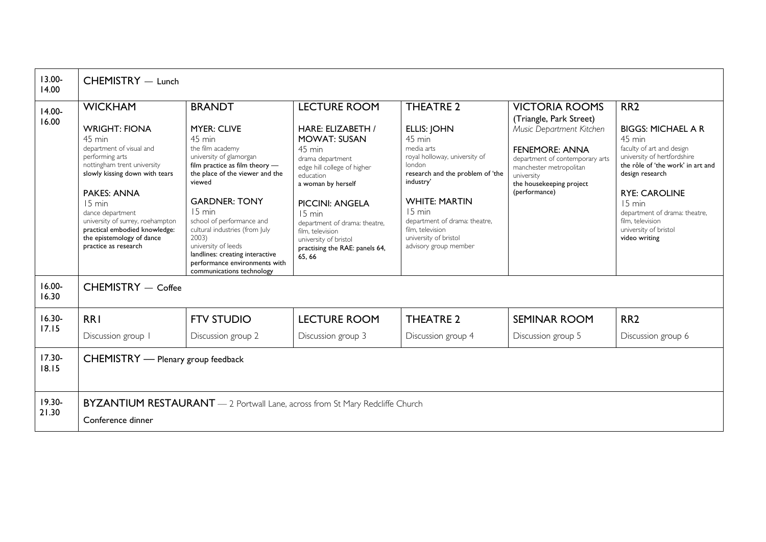| $13.00 -$<br>14.00 | CHEMISTRY - Lunch                                                                                                                                                                                                                                                                                                                              |                                                                                                                                                                                                                                                                                                                                                                                                                                  |                                                                                                                                                                                                                                                                                                                                               |                                                                                                                                                                                                                                                                                                               |                                                                                                                                                                                                                                |                                                                                                                                                                                                                                                                                                                       |  |
|--------------------|------------------------------------------------------------------------------------------------------------------------------------------------------------------------------------------------------------------------------------------------------------------------------------------------------------------------------------------------|----------------------------------------------------------------------------------------------------------------------------------------------------------------------------------------------------------------------------------------------------------------------------------------------------------------------------------------------------------------------------------------------------------------------------------|-----------------------------------------------------------------------------------------------------------------------------------------------------------------------------------------------------------------------------------------------------------------------------------------------------------------------------------------------|---------------------------------------------------------------------------------------------------------------------------------------------------------------------------------------------------------------------------------------------------------------------------------------------------------------|--------------------------------------------------------------------------------------------------------------------------------------------------------------------------------------------------------------------------------|-----------------------------------------------------------------------------------------------------------------------------------------------------------------------------------------------------------------------------------------------------------------------------------------------------------------------|--|
| $14.00 -$<br>16.00 | <b>WICKHAM</b><br><b>WRIGHT: FIONA</b><br>45 min<br>department of visual and<br>performing arts<br>nottingham trent university<br>slowly kissing down with tears<br><b>PAKES: ANNA</b><br>15 min<br>dance department<br>university of surrey, roehampton<br>practical embodied knowledge:<br>the epistemology of dance<br>practice as research | <b>BRANDT</b><br><b>MYER: CLIVE</b><br>$45 \text{ min}$<br>the film academy<br>university of glamorgan<br>film practice as film theory -<br>the place of the viewer and the<br>viewed<br><b>GARDNER: TONY</b><br>$15 \text{ min}$<br>school of performance and<br>cultural industries (from July<br>2003<br>university of leeds<br>landlines: creating interactive<br>performance environments with<br>communications technology | <b>LECTURE ROOM</b><br><b>HARE: ELIZABETH /</b><br><b>MOWAT: SUSAN</b><br>45 min<br>drama department<br>edge hill college of higher<br>education<br>a woman by herself<br><b>PICCINI: ANGELA</b><br>$15 \text{ min}$<br>department of drama: theatre,<br>film. television<br>university of bristol<br>practising the RAE: panels 64,<br>65.66 | <b>THEATRE 2</b><br><b>ELLIS: JOHN</b><br>45 min<br>media arts<br>royal holloway, university of<br>london<br>research and the problem of 'the<br>industry'<br><b>WHITE: MARTIN</b><br>$15 \text{ min}$<br>department of drama: theatre.<br>film. television<br>university of bristol<br>advisory group member | <b>VICTORIA ROOMS</b><br>(Triangle, Park Street)<br>Music Department Kitchen<br><b>FENEMORE: ANNA</b><br>department of contemporary arts<br>manchester metropolitan<br>university<br>the housekeeping project<br>(performance) | RR <sub>2</sub><br><b>BIGGS: MICHAEL A R</b><br>45 min<br>faculty of art and design<br>university of hertfordshire<br>the rôle of 'the work' in art and<br>design research<br><b>RYE: CAROLINE</b><br>$15 \text{ min}$<br>department of drama: theatre,<br>film. television<br>university of bristol<br>video writing |  |
| $16.00 -$<br>16.30 | $CHEMISTRY - \text{Coffee}$                                                                                                                                                                                                                                                                                                                    |                                                                                                                                                                                                                                                                                                                                                                                                                                  |                                                                                                                                                                                                                                                                                                                                               |                                                                                                                                                                                                                                                                                                               |                                                                                                                                                                                                                                |                                                                                                                                                                                                                                                                                                                       |  |
| $16.30 -$          | <b>RRI</b>                                                                                                                                                                                                                                                                                                                                     | <b>FTV STUDIO</b>                                                                                                                                                                                                                                                                                                                                                                                                                | <b>LECTURE ROOM</b>                                                                                                                                                                                                                                                                                                                           | <b>THEATRE 2</b>                                                                                                                                                                                                                                                                                              | <b>SEMINAR ROOM</b>                                                                                                                                                                                                            | RR <sub>2</sub>                                                                                                                                                                                                                                                                                                       |  |
| 17.15              | Discussion group 1                                                                                                                                                                                                                                                                                                                             | Discussion group 2                                                                                                                                                                                                                                                                                                                                                                                                               | Discussion group 3                                                                                                                                                                                                                                                                                                                            | Discussion group 4                                                                                                                                                                                                                                                                                            | Discussion group 5                                                                                                                                                                                                             | Discussion group 6                                                                                                                                                                                                                                                                                                    |  |
| $17.30 -$<br>18.15 | CHEMISTRY - Plenary group feedback                                                                                                                                                                                                                                                                                                             |                                                                                                                                                                                                                                                                                                                                                                                                                                  |                                                                                                                                                                                                                                                                                                                                               |                                                                                                                                                                                                                                                                                                               |                                                                                                                                                                                                                                |                                                                                                                                                                                                                                                                                                                       |  |
| $19.30 -$<br>21.30 | BYZANTIUM RESTAURANT - 2 Portwall Lane, across from St Mary Redcliffe Church<br>Conference dinner                                                                                                                                                                                                                                              |                                                                                                                                                                                                                                                                                                                                                                                                                                  |                                                                                                                                                                                                                                                                                                                                               |                                                                                                                                                                                                                                                                                                               |                                                                                                                                                                                                                                |                                                                                                                                                                                                                                                                                                                       |  |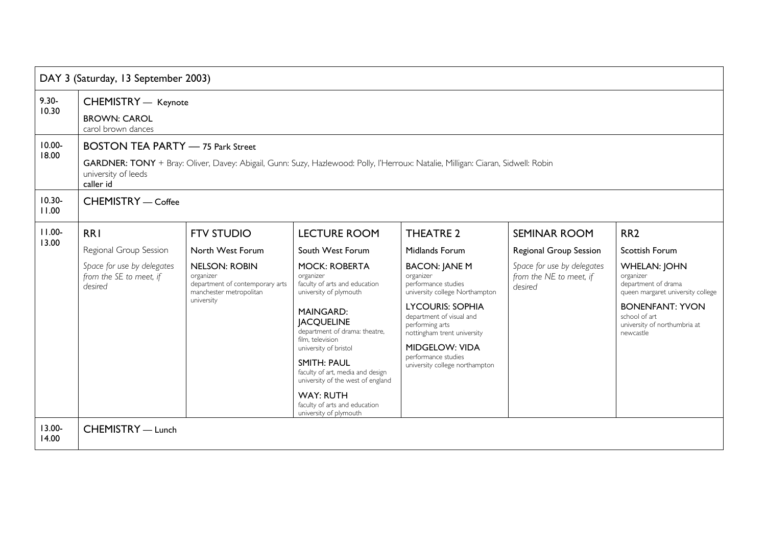| DAY 3 (Saturday, 13 September 2003)                                                                                                                                                                                                   |                                                                  |                                                                                                               |                                                                                                                                                                                                                                                                                                                                                                                                   |                                                                                                                                                                                                                                                                                       |                                                                  |                                                                                                                                                                                      |  |
|---------------------------------------------------------------------------------------------------------------------------------------------------------------------------------------------------------------------------------------|------------------------------------------------------------------|---------------------------------------------------------------------------------------------------------------|---------------------------------------------------------------------------------------------------------------------------------------------------------------------------------------------------------------------------------------------------------------------------------------------------------------------------------------------------------------------------------------------------|---------------------------------------------------------------------------------------------------------------------------------------------------------------------------------------------------------------------------------------------------------------------------------------|------------------------------------------------------------------|--------------------------------------------------------------------------------------------------------------------------------------------------------------------------------------|--|
| $9.30 -$<br>10.30                                                                                                                                                                                                                     | CHEMISTRY - Keynote<br><b>BROWN: CAROL</b><br>carol brown dances |                                                                                                               |                                                                                                                                                                                                                                                                                                                                                                                                   |                                                                                                                                                                                                                                                                                       |                                                                  |                                                                                                                                                                                      |  |
| $10.00 -$<br><b>BOSTON TEA PARTY -75 Park Street</b><br>18.00<br>GARDNER: TONY + Bray: Oliver, Davey: Abigail, Gunn: Suzy, Hazlewood: Polly, l'Herroux: Natalie, Milligan: Ciaran, Sidwell: Robin<br>university of leeds<br>caller id |                                                                  |                                                                                                               |                                                                                                                                                                                                                                                                                                                                                                                                   |                                                                                                                                                                                                                                                                                       |                                                                  |                                                                                                                                                                                      |  |
| $10.30 -$<br>11.00                                                                                                                                                                                                                    | CHEMISTRY — Coffee                                               |                                                                                                               |                                                                                                                                                                                                                                                                                                                                                                                                   |                                                                                                                                                                                                                                                                                       |                                                                  |                                                                                                                                                                                      |  |
| $11.00 -$                                                                                                                                                                                                                             | <b>RRI</b>                                                       | <b>FTV STUDIO</b>                                                                                             | <b>LECTURE ROOM</b>                                                                                                                                                                                                                                                                                                                                                                               | <b>THEATRE 2</b>                                                                                                                                                                                                                                                                      | <b>SEMINAR ROOM</b>                                              | RR <sub>2</sub>                                                                                                                                                                      |  |
| 13.00                                                                                                                                                                                                                                 | Regional Group Session                                           | North West Forum                                                                                              | South West Forum                                                                                                                                                                                                                                                                                                                                                                                  | Midlands Forum                                                                                                                                                                                                                                                                        | Regional Group Session                                           | Scottish Forum                                                                                                                                                                       |  |
|                                                                                                                                                                                                                                       | Space for use by delegates<br>from the SE to meet, if<br>desired | <b>NELSON: ROBIN</b><br>organizer<br>department of contemporary arts<br>manchester metropolitan<br>university | <b>MOCK: ROBERTA</b><br>organizer<br>faculty of arts and education<br>university of plymouth<br><b>MAINGARD:</b><br><b>JACQUELINE</b><br>department of drama: theatre.<br>film, television<br>university of bristol<br><b>SMITH: PAUL</b><br>faculty of art, media and design<br>university of the west of england<br><b>WAY: RUTH</b><br>faculty of arts and education<br>university of plymouth | <b>BACON: JANE M</b><br>organizer<br>performance studies<br>university college Northampton<br><b>LYCOURIS: SOPHIA</b><br>department of visual and<br>performing arts<br>nottingham trent university<br><b>MIDGELOW: VIDA</b><br>performance studies<br>university college northampton | Space for use by delegates<br>from the NE to meet, if<br>desired | <b>WHELAN: JOHN</b><br>organizer<br>department of drama<br>queen margaret university college<br><b>BONENFANT: YVON</b><br>school of art<br>university of northumbria at<br>newcastle |  |
| $13.00 -$<br>14.00                                                                                                                                                                                                                    | CHEMISTRY — Lunch                                                |                                                                                                               |                                                                                                                                                                                                                                                                                                                                                                                                   |                                                                                                                                                                                                                                                                                       |                                                                  |                                                                                                                                                                                      |  |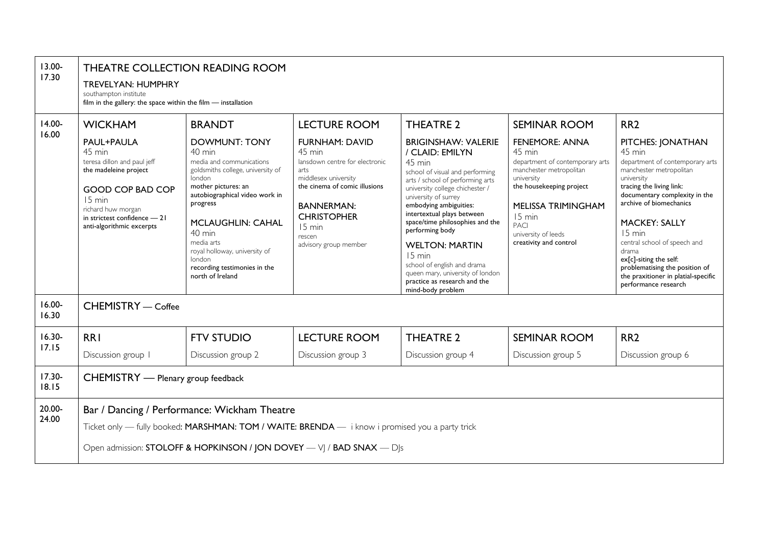| $13.00 -$<br>17.30 | THEATRE COLLECTION READING ROOM<br><b>TREVELYAN: HUMPHRY</b><br>southampton institute<br>film in the gallery: the space within the film - installation                                                                   |                                                                                                                                                                                                                                                                                                                                                    |                                                                                                                                                                                                                                                              |                                                                                                                                                                                                                                                                                                                                                                                                                                                                                        |                                                                                                                                                                                                                                                                          |                                                                                                                                                                                                                                                                                                                                                                                                                                    |  |
|--------------------|--------------------------------------------------------------------------------------------------------------------------------------------------------------------------------------------------------------------------|----------------------------------------------------------------------------------------------------------------------------------------------------------------------------------------------------------------------------------------------------------------------------------------------------------------------------------------------------|--------------------------------------------------------------------------------------------------------------------------------------------------------------------------------------------------------------------------------------------------------------|----------------------------------------------------------------------------------------------------------------------------------------------------------------------------------------------------------------------------------------------------------------------------------------------------------------------------------------------------------------------------------------------------------------------------------------------------------------------------------------|--------------------------------------------------------------------------------------------------------------------------------------------------------------------------------------------------------------------------------------------------------------------------|------------------------------------------------------------------------------------------------------------------------------------------------------------------------------------------------------------------------------------------------------------------------------------------------------------------------------------------------------------------------------------------------------------------------------------|--|
| $14.00 -$<br>16.00 | <b>WICKHAM</b><br>PAUL+PAULA<br>45 min<br>teresa dillon and paul jeff<br>the madeleine project<br><b>GOOD COP BAD COP</b><br>15 min<br>richard huw morgan<br>in strictest confidence - 21<br>anti-algorithmic excerpts   | <b>BRANDT</b><br><b>DOWMUNT: TONY</b><br>40 min<br>media and communications<br>goldsmiths college, university of<br>london<br>mother pictures: an<br>autobiographical video work in<br>progress<br><b>MCLAUGHLIN: CAHAL</b><br>40 min<br>media arts<br>royal holloway, university of<br>london<br>recording testimonies in the<br>north of Ireland | <b>LECTURE ROOM</b><br><b>FURNHAM: DAVID</b><br>45 min<br>lansdown centre for electronic.<br>arts<br>middlesex university<br>the cinema of comic illusions<br><b>BANNERMAN:</b><br><b>CHRISTOPHER</b><br>$15 \text{ min}$<br>rescen<br>advisory group member | <b>THEATRE 2</b><br><b>BRIGINSHAW: VALERIE</b><br>/ CLAID: EMILYN<br>45 min<br>school of visual and performing<br>arts / school of performing arts<br>university college chichester /<br>university of surrey<br>embodying ambiguities:<br>intertextual plays between<br>space/time philosophies and the<br>performing body<br><b>WELTON: MARTIN</b><br>15 min<br>school of english and drama<br>queen mary, university of london<br>practice as research and the<br>mind-body problem | <b>SEMINAR ROOM</b><br><b>FENEMORE: ANNA</b><br>$45 \text{ min}$<br>department of contemporary arts<br>manchester metropolitan<br>university<br>the housekeeping project<br>MELISSA TRIMINGHAM<br>15 min<br><b>PACI</b><br>university of leeds<br>creativity and control | RR <sub>2</sub><br>PITCHES: JONATHAN<br>45 min<br>department of contemporary arts<br>manchester metropolitan<br>university<br>tracing the living link:<br>documentary complexity in the<br>archive of biomechanics<br><b>MACKEY: SALLY</b><br>$15 \text{ min}$<br>central school of speech and<br>drama<br>ex[c]-siting the self:<br>problematising the position of<br>the praxitioner in platial-specific<br>performance research |  |
| $16.00 -$<br>16.30 | CHEMISTRY — Coffee                                                                                                                                                                                                       |                                                                                                                                                                                                                                                                                                                                                    |                                                                                                                                                                                                                                                              |                                                                                                                                                                                                                                                                                                                                                                                                                                                                                        |                                                                                                                                                                                                                                                                          |                                                                                                                                                                                                                                                                                                                                                                                                                                    |  |
| $16.30 -$          | <b>RRI</b>                                                                                                                                                                                                               | <b>FTV STUDIO</b>                                                                                                                                                                                                                                                                                                                                  | <b>LECTURE ROOM</b>                                                                                                                                                                                                                                          | <b>THEATRE 2</b>                                                                                                                                                                                                                                                                                                                                                                                                                                                                       | <b>SEMINAR ROOM</b>                                                                                                                                                                                                                                                      | RR <sub>2</sub>                                                                                                                                                                                                                                                                                                                                                                                                                    |  |
| 17.15              | Discussion group 1                                                                                                                                                                                                       | Discussion group 2                                                                                                                                                                                                                                                                                                                                 | Discussion group 3                                                                                                                                                                                                                                           | Discussion group 4                                                                                                                                                                                                                                                                                                                                                                                                                                                                     | Discussion group 5                                                                                                                                                                                                                                                       | Discussion group 6                                                                                                                                                                                                                                                                                                                                                                                                                 |  |
| $17.30 -$<br>18.15 | CHEMISTRY - Plenary group feedback                                                                                                                                                                                       |                                                                                                                                                                                                                                                                                                                                                    |                                                                                                                                                                                                                                                              |                                                                                                                                                                                                                                                                                                                                                                                                                                                                                        |                                                                                                                                                                                                                                                                          |                                                                                                                                                                                                                                                                                                                                                                                                                                    |  |
| $20.00 -$<br>24.00 | Bar / Dancing / Performance: Wickham Theatre<br>Ticket only — fully booked: MARSHMAN: TOM / WAITE: BRENDA — i know i promised you a party trick<br>Open admission: STOLOFF & HOPKINSON / JON DOVEY - V  / BAD SNAX - D s |                                                                                                                                                                                                                                                                                                                                                    |                                                                                                                                                                                                                                                              |                                                                                                                                                                                                                                                                                                                                                                                                                                                                                        |                                                                                                                                                                                                                                                                          |                                                                                                                                                                                                                                                                                                                                                                                                                                    |  |